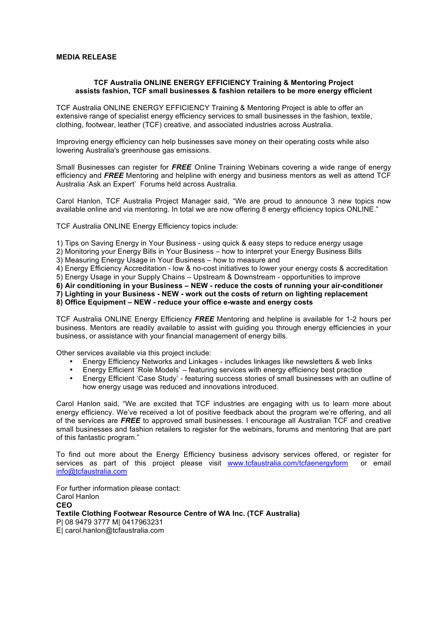## **MEDIA RELEASE**

## **TCF Australia ONLINE ENERGY EFFICIENCY Training & Mentoring Project assists fashion, TCF small businesses & fashion retailers to be more energy efficient**

TCF Australia ONLINE ENERGY EFFICIENCY Training & Mentoring Project is able to offer an extensive range of specialist energy efficiency services to small businesses in the fashion, textile, clothing, footwear, leather (TCF) creative, and associated industries across Australia.

Improving energy efficiency can help businesses save money on their operating costs while also lowering Australia's greenhouse gas emissions.

Small Businesses can register for *FREE* Online Training Webinars covering a wide range of energy efficiency and *FREE* Mentoring and helpline with energy and business mentors as well as attend TCF Australia 'Ask an Expert' Forums held across Australia.

Carol Hanlon, TCF Australia Project Manager said, "We are proud to announce 3 new topics now available online and via mentoring. In total we are now offering 8 energy efficiency topics ONLINE."

TCF Australia ONLINE Energy Efficiency topics include:

1) Tips on Saving Energy in Your Business - using quick & easy steps to reduce energy usage

2) Monitoring your Energy Bills in Your Business – how to interpret your Energy Business Bills

3) Measuring Energy Usage in Your Business – how to measure and

4) Energy Efficiency Accreditation - low & no-cost initiatives to lower your energy costs & accreditation

5) Energy Usage in your Supply Chains – Upstream & Downstream - opportunities to improve

**6) Air conditioning in your Business – NEW - reduce the costs of running your air-conditioner**

**7) Lighting in your Business - NEW - work out the costs of return on lighting replacement**

**8) Office Equipment – NEW - reduce your office e-waste and energy costs**

TCF Australia ONLINE Energy Efficiency *FREE* Mentoring and helpline is available for 1-2 hours per business. Mentors are readily available to assist with guiding you through energy efficiencies in your business, or assistance with your financial management of energy bills.

Other services available via this project include:

- Energy Efficiency Networks and Linkages includes linkages like newsletters & web links
- Energy Efficient 'Role Models' featuring services with energy efficiency best practice
- Energy Efficient 'Case Study' featuring success stories of small businesses with an outline of how energy usage was reduced and innovations introduced.

Carol Hanlon said, "We are excited that TCF industries are engaging with us to learn more about energy efficiency. We've received a lot of positive feedback about the program we're offering, and all of the services are *FREE* to approved small businesses. I encourage all Australian TCF and creative small businesses and fashion retailers to register for the webinars, forums and mentoring that are part of this fantastic program."

To find out more about the Energy Efficiency business advisory services offered, or register for services as part of this project please visit www.tcfaustralia.com/tcfaenergyform or email info@tcfaustralia.com

For further information please contact: Carol Hanlon **CEO Textile Clothing Footwear Resource Centre of WA Inc. (TCF Australia)** P| 08 9479 3777 M| 0417963231 E| carol.hanlon@tcfaustralia.com